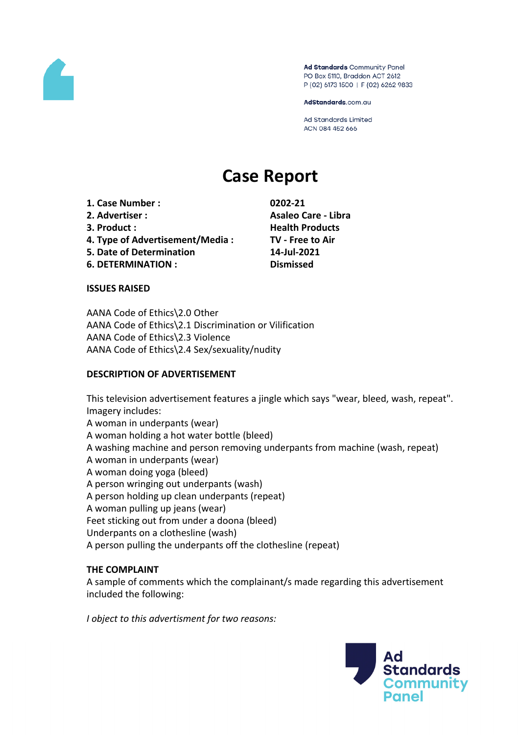

Ad Standards Community Panel PO Box 5110, Braddon ACT 2612 P (02) 6173 1500 | F (02) 6262 9833

AdStandards.com.au

Ad Standards Limited ACN 084 452 666

# **Case Report**

**1. Case Number : 0202-21 2. Advertiser : Asaleo Care - Libra 3. Product : Health Products 4. Type of Advertisement/Media : TV - Free to Air 5. Date of Determination 14-Jul-2021 6. DETERMINATION : Dismissed**

#### **ISSUES RAISED**

AANA Code of Ethics\2.0 Other AANA Code of Ethics\2.1 Discrimination or Vilification AANA Code of Ethics\2.3 Violence AANA Code of Ethics\2.4 Sex/sexuality/nudity

#### **DESCRIPTION OF ADVERTISEMENT**

This television advertisement features a jingle which says "wear, bleed, wash, repeat". Imagery includes: A woman in underpants (wear) A woman holding a hot water bottle (bleed) A washing machine and person removing underpants from machine (wash, repeat) A woman in underpants (wear) A woman doing yoga (bleed) A person wringing out underpants (wash) A person holding up clean underpants (repeat) A woman pulling up jeans (wear) Feet sticking out from under a doona (bleed) Underpants on a clothesline (wash) A person pulling the underpants off the clothesline (repeat)

#### **THE COMPLAINT**

A sample of comments which the complainant/s made regarding this advertisement included the following:

*I object to this advertisment for two reasons:*

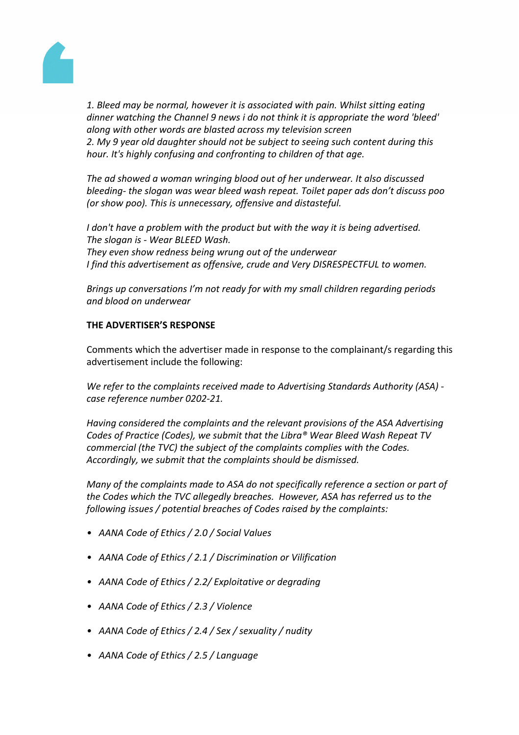

*1. Bleed may be normal, however it is associated with pain. Whilst sitting eating dinner watching the Channel 9 news i do not think it is appropriate the word 'bleed' along with other words are blasted across my television screen 2. My 9 year old daughter should not be subject to seeing such content during this hour. It's highly confusing and confronting to children of that age.*

*The ad showed a woman wringing blood out of her underwear. It also discussed bleeding- the slogan was wear bleed wash repeat. Toilet paper ads don't discuss poo (or show poo). This is unnecessary, offensive and distasteful.*

*I don't have a problem with the product but with the way it is being advertised. The slogan is - Wear BLEED Wash. They even show redness being wrung out of the underwear I find this advertisement as offensive, crude and Very DISRESPECTFUL to women.*

*Brings up conversations I'm not ready for with my small children regarding periods and blood on underwear*

# **THE ADVERTISER'S RESPONSE**

Comments which the advertiser made in response to the complainant/s regarding this advertisement include the following:

*We refer to the complaints received made to Advertising Standards Authority (ASA) case reference number 0202-21.*

*Having considered the complaints and the relevant provisions of the ASA Advertising Codes of Practice (Codes), we submit that the Libra® Wear Bleed Wash Repeat TV commercial (the TVC) the subject of the complaints complies with the Codes. Accordingly, we submit that the complaints should be dismissed.*

*Many of the complaints made to ASA do not specifically reference a section or part of the Codes which the TVC allegedly breaches. However, ASA has referred us to the following issues / potential breaches of Codes raised by the complaints:*

- *AANA Code of Ethics / 2.0 / Social Values*
- *AANA Code of Ethics / 2.1 / Discrimination or Vilification*
- *AANA Code of Ethics / 2.2/ Exploitative or degrading*
- *AANA Code of Ethics / 2.3 / Violence*
- *AANA Code of Ethics / 2.4 / Sex / sexuality / nudity*
- *AANA Code of Ethics / 2.5 / Language*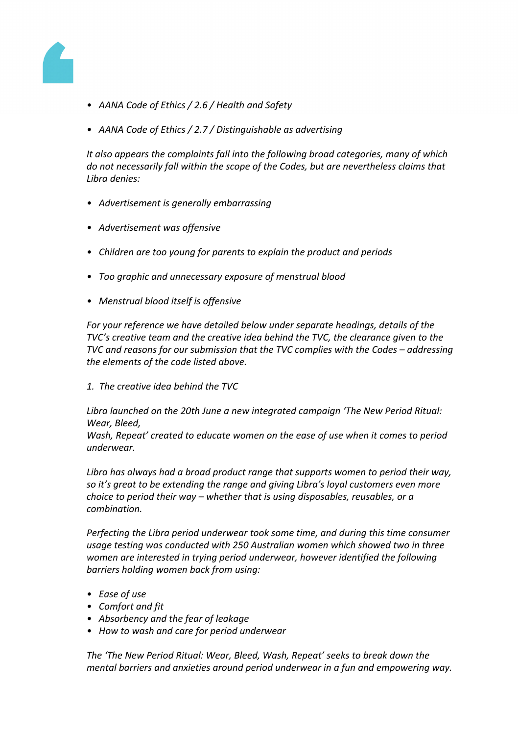

- *AANA Code of Ethics / 2.6 / Health and Safety*
- *AANA Code of Ethics / 2.7 / Distinguishable as advertising*

*It also appears the complaints fall into the following broad categories, many of which do not necessarily fall within the scope of the Codes, but are nevertheless claims that Libra denies:*

- *Advertisement is generally embarrassing*
- *Advertisement was offensive*
- *Children are too young for parents to explain the product and periods*
- *Too graphic and unnecessary exposure of menstrual blood*
- *Menstrual blood itself is offensive*

*For your reference we have detailed below under separate headings, details of the TVC's creative team and the creative idea behind the TVC, the clearance given to the TVC and reasons for our submission that the TVC complies with the Codes – addressing the elements of the code listed above.*

*1. The creative idea behind the TVC*

*Libra launched on the 20th June a new integrated campaign 'The New Period Ritual: Wear, Bleed,*

*Wash, Repeat' created to educate women on the ease of use when it comes to period underwear.*

*Libra has always had a broad product range that supports women to period their way, so it's great to be extending the range and giving Libra's loyal customers even more choice to period their way – whether that is using disposables, reusables, or a combination.*

*Perfecting the Libra period underwear took some time, and during this time consumer usage testing was conducted with 250 Australian women which showed two in three women are interested in trying period underwear, however identified the following barriers holding women back from using:*

- *Ease of use*
- *Comfort and fit*
- *Absorbency and the fear of leakage*
- *How to wash and care for period underwear*

*The 'The New Period Ritual: Wear, Bleed, Wash, Repeat' seeks to break down the mental barriers and anxieties around period underwear in a fun and empowering way.*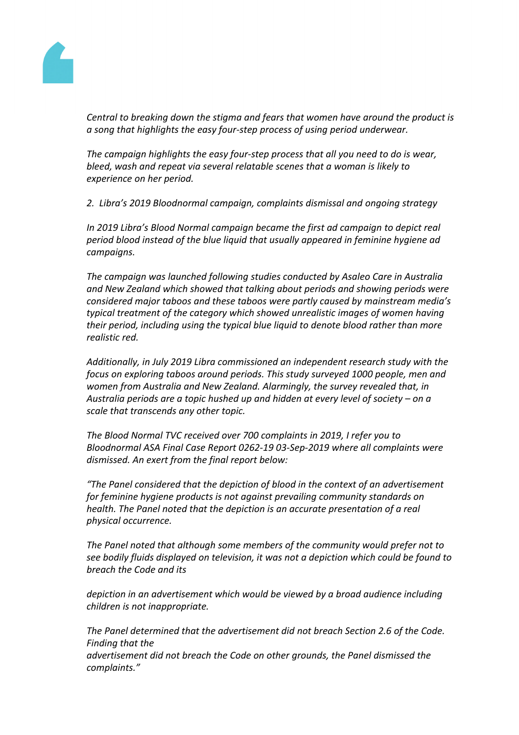

*Central to breaking down the stigma and fears that women have around the product is a song that highlights the easy four-step process of using period underwear.*

*The campaign highlights the easy four-step process that all you need to do is wear, bleed, wash and repeat via several relatable scenes that a woman is likely to experience on her period.*

*2. Libra's 2019 Bloodnormal campaign, complaints dismissal and ongoing strategy*

*In 2019 Libra's Blood Normal campaign became the first ad campaign to depict real period blood instead of the blue liquid that usually appeared in feminine hygiene ad campaigns.*

*The campaign was launched following studies conducted by Asaleo Care in Australia and New Zealand which showed that talking about periods and showing periods were considered major taboos and these taboos were partly caused by mainstream media's typical treatment of the category which showed unrealistic images of women having their period, including using the typical blue liquid to denote blood rather than more realistic red.*

*Additionally, in July 2019 Libra commissioned an independent research study with the focus on exploring taboos around periods. This study surveyed 1000 people, men and women from Australia and New Zealand. Alarmingly, the survey revealed that, in Australia periods are a topic hushed up and hidden at every level of society – on a scale that transcends any other topic.*

*The Blood Normal TVC received over 700 complaints in 2019, I refer you to Bloodnormal ASA Final Case Report 0262-19 03-Sep-2019 where all complaints were dismissed. An exert from the final report below:*

*"The Panel considered that the depiction of blood in the context of an advertisement for feminine hygiene products is not against prevailing community standards on health. The Panel noted that the depiction is an accurate presentation of a real physical occurrence.*

*The Panel noted that although some members of the community would prefer not to see bodily fluids displayed on television, it was not a depiction which could be found to breach the Code and its*

*depiction in an advertisement which would be viewed by a broad audience including children is not inappropriate.*

*The Panel determined that the advertisement did not breach Section 2.6 of the Code. Finding that the advertisement did not breach the Code on other grounds, the Panel dismissed the complaints."*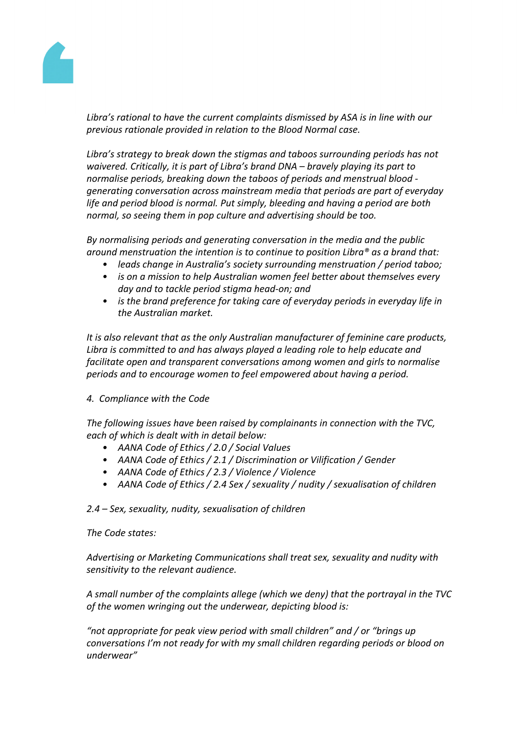

*Libra's rational to have the current complaints dismissed by ASA is in line with our previous rationale provided in relation to the Blood Normal case.*

*Libra's strategy to break down the stigmas and taboos surrounding periods has not waivered. Critically, it is part of Libra's brand DNA – bravely playing its part to normalise periods, breaking down the taboos of periods and menstrual blood generating conversation across mainstream media that periods are part of everyday life and period blood is normal. Put simply, bleeding and having a period are both normal, so seeing them in pop culture and advertising should be too.*

*By normalising periods and generating conversation in the media and the public around menstruation the intention is to continue to position Libra® as a brand that:*

- *• leads change in Australia's society surrounding menstruation / period taboo;*
- *• is on a mission to help Australian women feel better about themselves every day and to tackle period stigma head-on; and*
- *• is the brand preference for taking care of everyday periods in everyday life in the Australian market.*

*It is also relevant that as the only Australian manufacturer of feminine care products, Libra is committed to and has always played a leading role to help educate and facilitate open and transparent conversations among women and girls to normalise periods and to encourage women to feel empowered about having a period.*

*4. Compliance with the Code*

*The following issues have been raised by complainants in connection with the TVC, each of which is dealt with in detail below:*

- *• AANA Code of Ethics / 2.0 / Social Values*
- *• AANA Code of Ethics / 2.1 / Discrimination or Vilification / Gender*
- *• AANA Code of Ethics / 2.3 / Violence / Violence*
- *• AANA Code of Ethics / 2.4 Sex / sexuality / nudity / sexualisation of children*

*2.4 – Sex, sexuality, nudity, sexualisation of children*

## *The Code states:*

*Advertising or Marketing Communications shall treat sex, sexuality and nudity with sensitivity to the relevant audience.*

*A small number of the complaints allege (which we deny) that the portrayal in the TVC of the women wringing out the underwear, depicting blood is:*

*"not appropriate for peak view period with small children" and / or "brings up conversations I'm not ready for with my small children regarding periods or blood on underwear"*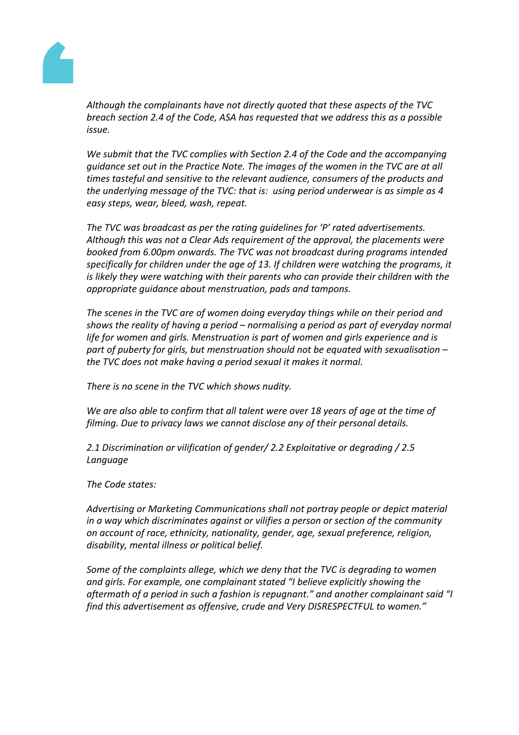

*Although the complainants have not directly quoted that these aspects of the TVC breach section 2.4 of the Code, ASA has requested that we address this as a possible issue.*

*We submit that the TVC complies with Section 2.4 of the Code and the accompanying guidance set out in the Practice Note. The images of the women in the TVC are at all times tasteful and sensitive to the relevant audience, consumers of the products and the underlying message of the TVC: that is: using period underwear is as simple as 4 easy steps, wear, bleed, wash, repeat.*

*The TVC was broadcast as per the rating guidelines for 'P' rated advertisements. Although this was not a Clear Ads requirement of the approval, the placements were booked from 6.00pm onwards. The TVC was not broadcast during programs intended specifically for children under the age of 13. If children were watching the programs, it is likely they were watching with their parents who can provide their children with the appropriate guidance about menstruation, pads and tampons.*

*The scenes in the TVC are of women doing everyday things while on their period and shows the reality of having a period – normalising a period as part of everyday normal life for women and girls. Menstruation is part of women and girls experience and is part of puberty for girls, but menstruation should not be equated with sexualisation – the TVC does not make having a period sexual it makes it normal.*

*There is no scene in the TVC which shows nudity.*

*We are also able to confirm that all talent were over 18 years of age at the time of filming. Due to privacy laws we cannot disclose any of their personal details.*

*2.1 Discrimination or vilification of gender/ 2.2 Exploitative or degrading / 2.5 Language*

*The Code states:*

*Advertising or Marketing Communications shall not portray people or depict material in a way which discriminates against or vilifies a person or section of the community on account of race, ethnicity, nationality, gender, age, sexual preference, religion, disability, mental illness or political belief.*

*Some of the complaints allege, which we deny that the TVC is degrading to women and girls. For example, one complainant stated "I believe explicitly showing the aftermath of a period in such a fashion is repugnant." and another complainant said "I find this advertisement as offensive, crude and Very DISRESPECTFUL to women."*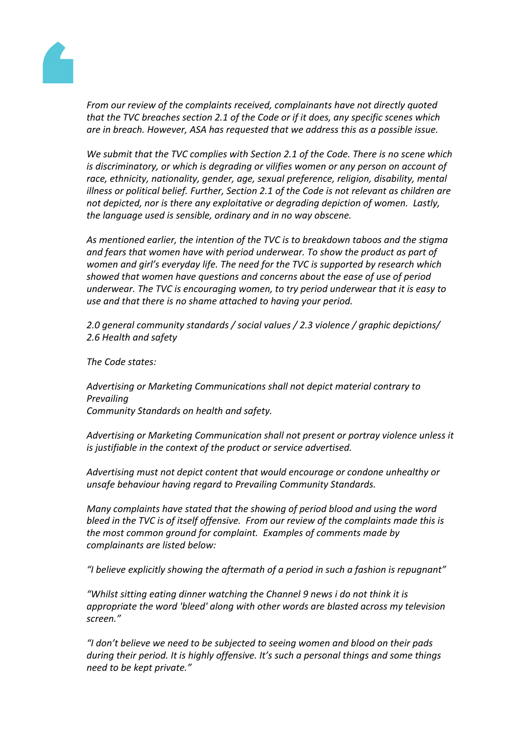

*From our review of the complaints received, complainants have not directly quoted that the TVC breaches section 2.1 of the Code or if it does, any specific scenes which are in breach. However, ASA has requested that we address this as a possible issue.*

*We submit that the TVC complies with Section 2.1 of the Code. There is no scene which is discriminatory, or which is degrading or vilifies women or any person on account of race, ethnicity, nationality, gender, age, sexual preference, religion, disability, mental illness or political belief. Further, Section 2.1 of the Code is not relevant as children are not depicted, nor is there any exploitative or degrading depiction of women. Lastly, the language used is sensible, ordinary and in no way obscene.*

*As mentioned earlier, the intention of the TVC is to breakdown taboos and the stigma and fears that women have with period underwear. To show the product as part of women and girl's everyday life. The need for the TVC is supported by research which showed that women have questions and concerns about the ease of use of period underwear. The TVC is encouraging women, to try period underwear that it is easy to use and that there is no shame attached to having your period.*

*2.0 general community standards / social values / 2.3 violence / graphic depictions/ 2.6 Health and safety*

*The Code states:*

*Advertising or Marketing Communications shall not depict material contrary to Prevailing Community Standards on health and safety.*

*Advertising or Marketing Communication shall not present or portray violence unless it is justifiable in the context of the product or service advertised.*

*Advertising must not depict content that would encourage or condone unhealthy or unsafe behaviour having regard to Prevailing Community Standards.*

*Many complaints have stated that the showing of period blood and using the word bleed in the TVC is of itself offensive. From our review of the complaints made this is the most common ground for complaint. Examples of comments made by complainants are listed below:*

*"I believe explicitly showing the aftermath of a period in such a fashion is repugnant"*

*"Whilst sitting eating dinner watching the Channel 9 news i do not think it is appropriate the word 'bleed' along with other words are blasted across my television screen."*

*"I don't believe we need to be subjected to seeing women and blood on their pads during their period. It is highly offensive. It's such a personal things and some things need to be kept private."*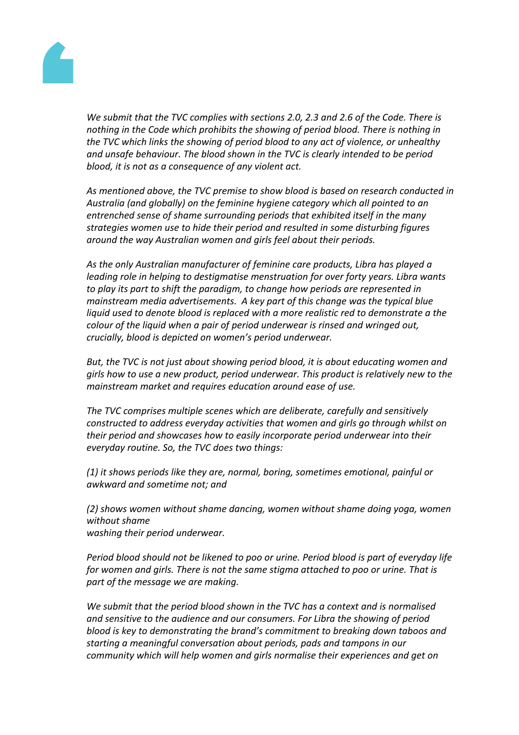

*We submit that the TVC complies with sections 2.0, 2.3 and 2.6 of the Code. There is nothing in the Code which prohibits the showing of period blood. There is nothing in the TVC which links the showing of period blood to any act of violence, or unhealthy and unsafe behaviour. The blood shown in the TVC is clearly intended to be period blood, it is not as a consequence of any violent act.*

*As mentioned above, the TVC premise to show blood is based on research conducted in Australia (and globally) on the feminine hygiene category which all pointed to an entrenched sense of shame surrounding periods that exhibited itself in the many strategies women use to hide their period and resulted in some disturbing figures around the way Australian women and girls feel about their periods.*

*As the only Australian manufacturer of feminine care products, Libra has played a leading role in helping to destigmatise menstruation for over forty years. Libra wants to play its part to shift the paradigm, to change how periods are represented in mainstream media advertisements. A key part of this change was the typical blue liquid used to denote blood is replaced with a more realistic red to demonstrate a the colour of the liquid when a pair of period underwear is rinsed and wringed out, crucially, blood is depicted on women's period underwear.*

*But, the TVC is not just about showing period blood, it is about educating women and girls how to use a new product, period underwear. This product is relatively new to the mainstream market and requires education around ease of use.*

*The TVC comprises multiple scenes which are deliberate, carefully and sensitively constructed to address everyday activities that women and girls go through whilst on their period and showcases how to easily incorporate period underwear into their everyday routine. So, the TVC does two things:*

*(1) it shows periods like they are, normal, boring, sometimes emotional, painful or awkward and sometime not; and*

*(2) shows women without shame dancing, women without shame doing yoga, women without shame washing their period underwear.*

*Period blood should not be likened to poo or urine. Period blood is part of everyday life for women and girls. There is not the same stigma attached to poo or urine. That is part of the message we are making.*

*We submit that the period blood shown in the TVC has a context and is normalised and sensitive to the audience and our consumers. For Libra the showing of period blood is key to demonstrating the brand's commitment to breaking down taboos and starting a meaningful conversation about periods, pads and tampons in our community which will help women and girls normalise their experiences and get on*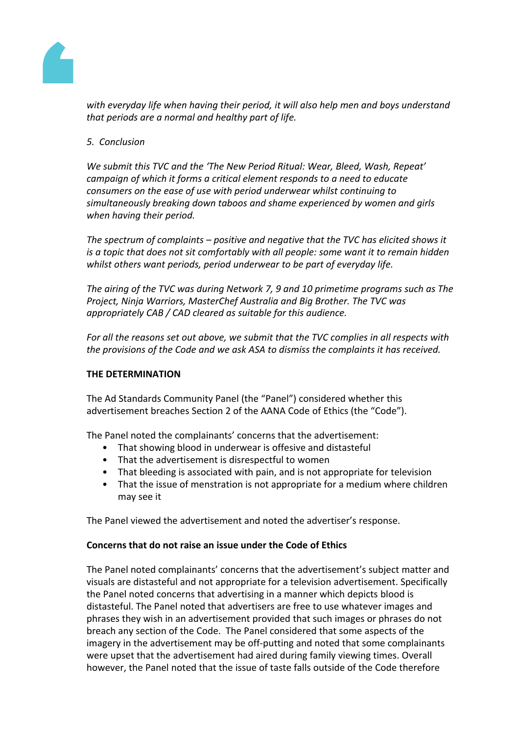

*with everyday life when having their period, it will also help men and boys understand that periods are a normal and healthy part of life.*

# *5. Conclusion*

*We submit this TVC and the 'The New Period Ritual: Wear, Bleed, Wash, Repeat' campaign of which it forms a critical element responds to a need to educate consumers on the ease of use with period underwear whilst continuing to simultaneously breaking down taboos and shame experienced by women and girls when having their period.*

*The spectrum of complaints – positive and negative that the TVC has elicited shows it is a topic that does not sit comfortably with all people: some want it to remain hidden whilst others want periods, period underwear to be part of everyday life.*

*The airing of the TVC was during Network 7, 9 and 10 primetime programs such as The Project, Ninja Warriors, MasterChef Australia and Big Brother. The TVC was appropriately CAB / CAD cleared as suitable for this audience.*

*For all the reasons set out above, we submit that the TVC complies in all respects with the provisions of the Code and we ask ASA to dismiss the complaints it has received.*

## **THE DETERMINATION**

The Ad Standards Community Panel (the "Panel") considered whether this advertisement breaches Section 2 of the AANA Code of Ethics (the "Code").

The Panel noted the complainants' concerns that the advertisement:

- That showing blood in underwear is offesive and distasteful
- That the advertisement is disrespectful to women
- That bleeding is associated with pain, and is not appropriate for television
- That the issue of menstration is not appropriate for a medium where children may see it

The Panel viewed the advertisement and noted the advertiser's response.

## **Concerns that do not raise an issue under the Code of Ethics**

The Panel noted complainants' concerns that the advertisement's subject matter and visuals are distasteful and not appropriate for a television advertisement. Specifically the Panel noted concerns that advertising in a manner which depicts blood is distasteful. The Panel noted that advertisers are free to use whatever images and phrases they wish in an advertisement provided that such images or phrases do not breach any section of the Code. The Panel considered that some aspects of the imagery in the advertisement may be off-putting and noted that some complainants were upset that the advertisement had aired during family viewing times. Overall however, the Panel noted that the issue of taste falls outside of the Code therefore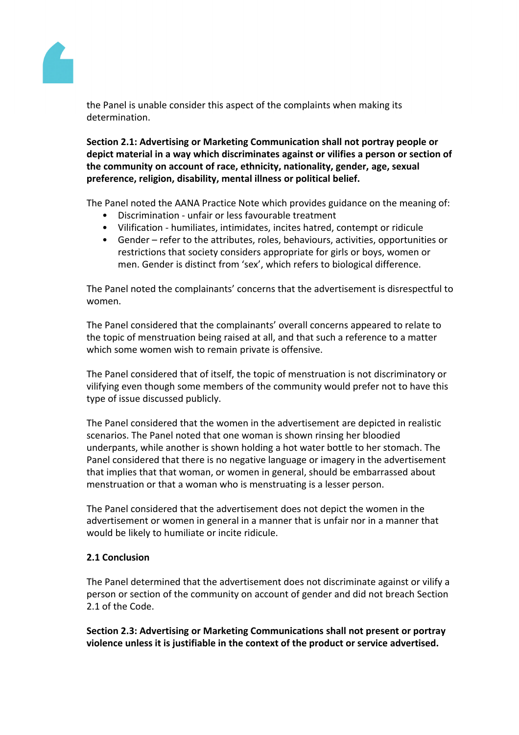

the Panel is unable consider this aspect of the complaints when making its determination.

**Section 2.1: Advertising or Marketing Communication shall not portray people or depict material in a way which discriminates against or vilifies a person or section of the community on account of race, ethnicity, nationality, gender, age, sexual preference, religion, disability, mental illness or political belief.**

The Panel noted the AANA Practice Note which provides guidance on the meaning of:

- Discrimination unfair or less favourable treatment
- Vilification humiliates, intimidates, incites hatred, contempt or ridicule
- Gender refer to the attributes, roles, behaviours, activities, opportunities or restrictions that society considers appropriate for girls or boys, women or men. Gender is distinct from 'sex', which refers to biological difference.

The Panel noted the complainants' concerns that the advertisement is disrespectful to women.

The Panel considered that the complainants' overall concerns appeared to relate to the topic of menstruation being raised at all, and that such a reference to a matter which some women wish to remain private is offensive.

The Panel considered that of itself, the topic of menstruation is not discriminatory or vilifying even though some members of the community would prefer not to have this type of issue discussed publicly.

The Panel considered that the women in the advertisement are depicted in realistic scenarios. The Panel noted that one woman is shown rinsing her bloodied underpants, while another is shown holding a hot water bottle to her stomach. The Panel considered that there is no negative language or imagery in the advertisement that implies that that woman, or women in general, should be embarrassed about menstruation or that a woman who is menstruating is a lesser person.

The Panel considered that the advertisement does not depict the women in the advertisement or women in general in a manner that is unfair nor in a manner that would be likely to humiliate or incite ridicule.

## **2.1 Conclusion**

The Panel determined that the advertisement does not discriminate against or vilify a person or section of the community on account of gender and did not breach Section 2.1 of the Code.

**Section 2.3: Advertising or Marketing Communications shall not present or portray violence unless it is justifiable in the context of the product or service advertised.**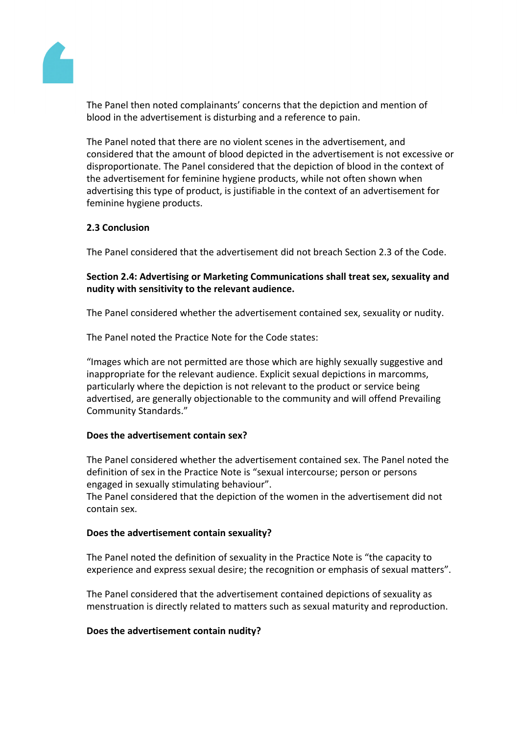

The Panel then noted complainants' concerns that the depiction and mention of blood in the advertisement is disturbing and a reference to pain.

The Panel noted that there are no violent scenes in the advertisement, and considered that the amount of blood depicted in the advertisement is not excessive or disproportionate. The Panel considered that the depiction of blood in the context of the advertisement for feminine hygiene products, while not often shown when advertising this type of product, is justifiable in the context of an advertisement for feminine hygiene products.

# **2.3 Conclusion**

The Panel considered that the advertisement did not breach Section 2.3 of the Code.

**Section 2.4: Advertising or Marketing Communications shall treat sex, sexuality and nudity with sensitivity to the relevant audience.**

The Panel considered whether the advertisement contained sex, sexuality or nudity.

The Panel noted the Practice Note for the Code states:

"Images which are not permitted are those which are highly sexually suggestive and inappropriate for the relevant audience. Explicit sexual depictions in marcomms, particularly where the depiction is not relevant to the product or service being advertised, are generally objectionable to the community and will offend Prevailing Community Standards."

## **Does the advertisement contain sex?**

The Panel considered whether the advertisement contained sex. The Panel noted the definition of sex in the Practice Note is "sexual intercourse; person or persons engaged in sexually stimulating behaviour".

The Panel considered that the depiction of the women in the advertisement did not contain sex.

## **Does the advertisement contain sexuality?**

The Panel noted the definition of sexuality in the Practice Note is "the capacity to experience and express sexual desire; the recognition or emphasis of sexual matters".

The Panel considered that the advertisement contained depictions of sexuality as menstruation is directly related to matters such as sexual maturity and reproduction.

## **Does the advertisement contain nudity?**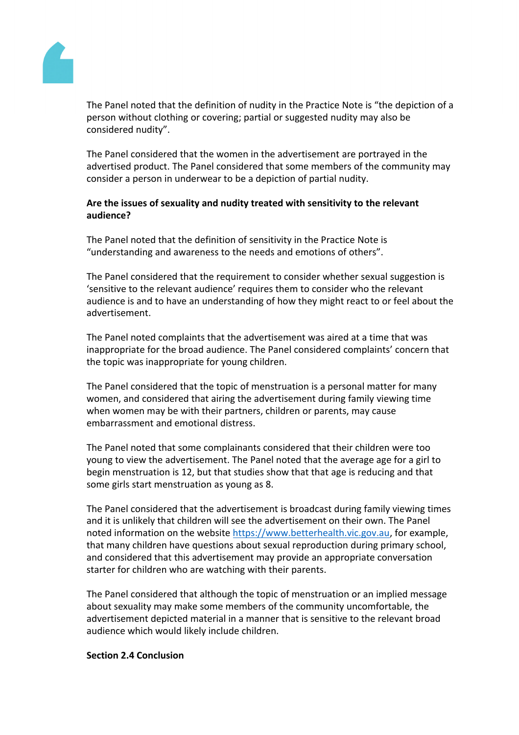ThePanel noted that thedefinition of nudity inthe PracticeNote is "thedepiction of a person without clothingor covering; partiabr suggested udity may also be considered nudity".

ThePanel considered that the women in the advertisement portrayed in the advertised productThe Panel considered that some members the community may consider apersonin underwear tobe a depictionof partialnudity.

Arethe issuesof sexualityand nudity treated with sensitivity tothe relevant audience?

The Panel noted that the definition of sensitivity in the Practicle of is "understandingandawareness tothe needs andemotions of others".

ThePanel considered that the requirement considerwhether sexualsuggestionis 'sensitiveto the relevantaudience' requires thento considerwho the relevant audience is and to haven understanding fhow they might react to or feel about the advertisement.

ThePanel noted complaints that the advertisement was aired ata time that was inappropriatefor the broadaudience. The Panel consider complaints' concern that the topic was inappropriate foroung children.

ThePanel considered that the topiof menstruationis a personal matterfor many women, and considered hat airing the advertisement during family ewing time when women maybe with their partners, childrenor parents, may cause embarrassmentandemotionaldistress.

ThePanel noted that some complainants considerteat their children were too young to view theadvertisement. The Panel notelolat the average ageor a girlto begin menstruation is 2, but that studies show that that geis reducing and that somegirlsstart menstruationasyoung as 8.

ThePanel considered that the advertisement broadcast during mily viewing times and it is unlikely that children will settee advertisement on theirown. The Panel noted information on the website [https://www.betterhealth.vic.gov.a](https://www.betterhealth.vic.gov.au)utor example[,](https://www.betterhealth.vic.gov.au) that many childrenhavequestionsabout sexualreproductionduring primaryschool, and considered thathis advertisement maprovide anappropriate conversation starterfor children whoarewatchingwith their parents.

ThePanel considered that although the topic menstruationor animplied message about sexuality maynakesome members fthe communityuncomfortable, the advertisement depictedmaterial in a mannethat is sensitive the relevant broad audience which wouldkely includechildren.

Section 2.4 Conclusion